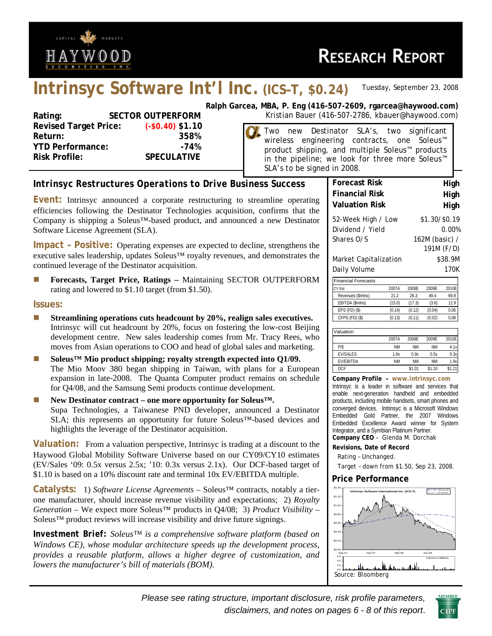

# **Intrinsyc Software Int'l Inc. (ICS–T, \$0.24)** *Tuesday, September 23, 2008*

| Rating:                      | <b>SECTOR OUTPERFORM</b> |
|------------------------------|--------------------------|
| <b>Revised Target Price:</b> | $(-$0.40) $1.10$         |
| Return:                      | 358%                     |
| <b>YTD Performance:</b>      | $-74%$                   |
| <b>Risk Profile:</b>         | <b>SPECULATIVE</b>       |
|                              |                          |

**Ralph Garcea, MBA, P. Eng (416-507-2609, rgarcea@haywood.com)** Kristian Bauer (416-507-2786, kbauer@haywood.com)

> Two new Destinator SLA's, two significant wireless engineering contracts, one Soleus™ product shipping, and multiple Soleus™ products in the pipeline; we look for three more Soleus™ SLA's to be signed in 2008.

# *Intrinsyc Restructures Operations to Drive Business Success*

**Event:** Intrinsyc announced a corporate restructuring to streamline operating efficiencies following the Destinator Technologies acquisition, confirms that the Company is shipping a Soleus™-based product, and announced a new Destinator Software License Agreement (SLA).

**Impact – Positive:** Operating expenses are expected to decline, strengthens the executive sales leadership, updates Soleus™ royalty revenues, and demonstrates the continued leverage of the Destinator acquisition.

**Forecasts, Target Price, Ratings – Maintaining SECTOR OUTPERFORM** rating and lowered to \$1.10 target (from \$1.50).

#### **Issues:**

- **Streamlining operations cuts headcount by 20%, realign sales executives.**  Intrinsyc will cut headcount by 20%, focus on fostering the low-cost Beijing development centre. New sales leadership comes from Mr. Tracy Rees, who moves from Asian operations to COO and head of global sales and marketing.
- Soleus<sup>™</sup> Mio product shipping; royalty strength expected into Q1/09. The Mio Moov 380 began shipping in Taiwan, with plans for a European expansion in late-2008. The Quanta Computer product remains on schedule for Q4/08, and the Samsung Semi products continue development.
- **New Destinator contract one more opportunity for Soleus™.**  Supa Technologies, a Taiwanese PND developer, announced a Destinator SLA; this represents an opportunity for future Soleus™-based devices and highlights the leverage of the Destinator acquisition.

**Valuation:** From a valuation perspective, Intrinsyc is trading at a discount to the Haywood Global Mobility Software Universe based on our CY09/CY10 estimates (EV/Sales '09: 0.5x versus 2.5x; '10: 0.3x versus 2.1x). Our DCF-based target of \$1.10 is based on a 10% discount rate and terminal 10x EV/EBITDA multiple.

**Catalysts:** 1) *Software License Agreements* – Soleus™ contracts, notably a tierone manufacturer, should increase revenue visibility and expectations; 2) *Royalty Generation* – We expect more Soleus™ products in Q4/08; 3) *Product Visibility* – Soleus<sup>™</sup> product reviews will increase visibility and drive future signings.

*Investment Brief: Soleus™ is a comprehensive software platform (based on Windows CE), whose modular architecture speeds up the development process, provides a reusable platform, allows a higher degree of customization, and lowers the manufacturer's bill of materials (BOM).* 

| <b>Forecast Risk</b>       |                |               | High          |       |  |  |  |  |  |  |  |
|----------------------------|----------------|---------------|---------------|-------|--|--|--|--|--|--|--|
| <b>Financial Risk</b>      | High           |               |               |       |  |  |  |  |  |  |  |
| <b>Valuation Risk</b>      | High           |               |               |       |  |  |  |  |  |  |  |
| 52-Week High / Low         |                | \$1.30/\$0.19 |               |       |  |  |  |  |  |  |  |
| Dividend / Yield           | 0.00%          |               |               |       |  |  |  |  |  |  |  |
| Shares O/S                 | 162M (basic) / |               |               |       |  |  |  |  |  |  |  |
|                            |                | 191M (F/D)    |               |       |  |  |  |  |  |  |  |
| Market Capitalization      |                | \$38.9M       |               |       |  |  |  |  |  |  |  |
| Daily Volume               |                |               |               | 170K  |  |  |  |  |  |  |  |
| <b>Financial Forecasts</b> |                |               |               |       |  |  |  |  |  |  |  |
| CY Est.                    | 2007A          | 2008E         | 2009E         | 2010E |  |  |  |  |  |  |  |
| Revenues (\$mlns)          | 21.2           |               |               |       |  |  |  |  |  |  |  |
| EBITDA (\$mlns)            | (15.0)         | (17.3)        | (3.6)<br>12.9 |       |  |  |  |  |  |  |  |

| Valuation        |           |           |           |       |
|------------------|-----------|-----------|-----------|-------|
|                  | 2007A     | 2008F     | 2009F     | 2010E |
| P/F              | <b>NM</b> | <b>NM</b> | <b>NM</b> | 4.1x  |
| <b>EV/SALES</b>  | 1.9x      | 0.9x      | 0.5x      | 0.3x  |
| <b>FV/FBITDA</b> | <b>NM</b> | <b>NM</b> | <b>NM</b> | 1.9x  |
| <b>DCF</b>       |           | \$1.01    | \$1.10    | \$1.2 |

EPS (FD) (\$) (0.14) (0.12) (0.04) 0.06 CFPS (FD) (\$) (0.13) (0.11) (0.02) 0.08

**Company Profile – www.intrinsyc.com** Intrinsyc is a leader in software and services that enable next-generation handheld and embedded products, including mobile handsets, smart phones and converged devices. Intrinsyc is a Microsoft Windows Embedded Gold Partner, the 2007 Windows Embedded Excellence Award winner for System Integrator, and a Symbian Platinum Partner. **Company CEO** – Glenda M. Dorchak

#### **Revisions, Date of Record**

Rating – Unchanged.

Target – down from \$1.50, Sep 23, 2008.

#### **Price Performance**



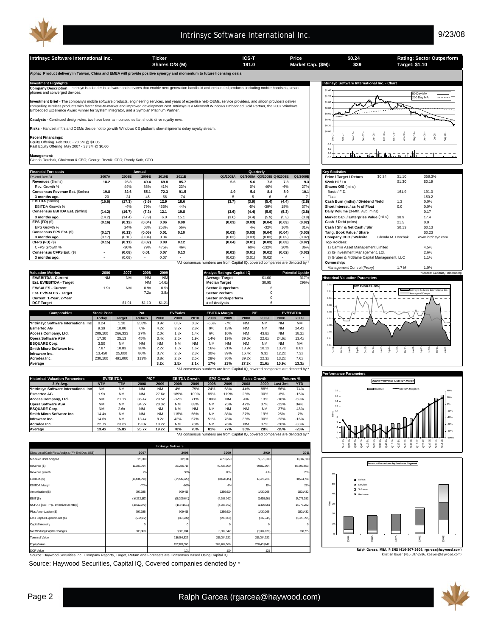

**Intrinsyc Software International Inc. Ticker ICS-T Price Rating: Sector Outperform Shares O/S (M) Market Cap. (\$M): 191.0 Target: \$1.10**

**Alpha: Product delivery in Taiwan, China and EMEA will provide positive synergy and momentum to future licensing deals.** 

**Company Description** - Intrinsyc is a leader in software and services that enable next-generation handheld and embedded products, including mobile handsets, smart<br>phones and converged devices.

**Investment Brief** - The company's mobile software products, engineering services, and years of expertise help OEMs, service providers, and silicon providers deliver<br>compelling wireless products with faster time-to-market

**Catalysts** - Continued design wins, two have been announced so far, should drive royalty revs.

**Risks** - Handset mftrs and OEMs decide not to go with Windows CE platform; slow shipments delay royalty stream.

**Recent Financings:**<br>Equity Offering Feb 2008 - 28.6M @ \$1.05<br>Past Equity Offering May 2007 - 33.3M @ \$0.60

**Management:** Glenda Dorchak, Chairman & CEO; George Reznik, CFO; Randy Kath, CTO

| <b>Financial Forecasts</b>      |        |        | Annual                   |       |       |                                                                                | Quarterly                  |         |        |          | <b>Kev Statistics</b>                       |                   |                   |  |  |  |  |  |
|---------------------------------|--------|--------|--------------------------|-------|-------|--------------------------------------------------------------------------------|----------------------------|---------|--------|----------|---------------------------------------------|-------------------|-------------------|--|--|--|--|--|
| FY-end Dec-31                   | 2007A  | 2008E  | 2009E                    | 2010E | 2011E | Q1/2008A                                                                       | Q2/2008A Q3/2008E Q4/2008E |         |        | Q1/2009E | \$0.24<br>Price / Target / Return           | \$1.10            | 358.3%            |  |  |  |  |  |
| Revenues (Smins)                | 18.2   | 26.3   | 49.4                     | 69.8  | 85.7  | 5.6                                                                            | 5.6                        | 7.8     | 7.3    | 9.3      | 52wk Hi / Lo                                | \$1.30            | \$0.19            |  |  |  |  |  |
| Rev. Growth %                   |        | 44%    | 88%                      | 41%   | 23%   |                                                                                | 0%                         | 40%     | $-6%$  | 27%      | Shares O/S (mlns)                           |                   |                   |  |  |  |  |  |
| Consensus Revenue Est. (\$mins) | 19.8   | 32.6   | 55.1                     | 72.3  | 91.5  | 4.9                                                                            | 5.4                        | 8.4     | 8.9    | 10.1     | Basic / F.D.                                | 161.9             | 191.0             |  |  |  |  |  |
| 3 months ago.                   | 20     | 24     | 45                       | 56    | 74    |                                                                                |                            |         |        |          | Float                                       |                   | 150.2             |  |  |  |  |  |
| EBITDA (\$mins)                 | (16.6) | (17.3) | (3.6)                    | 12.9  | 18.6  | (3.7)                                                                          | (3.9)                      | (5.4)   | (4.4)  | (2.8)    | Cash Burn (mths) / Dividend Yield           | 1.3               | 0.0%              |  |  |  |  |  |
| EBITDA Growth %                 |        | $-4%$  | 79%                      | 456%  | 44%   |                                                                                | $-5%$                      | $-39%$  | 18%    | 37%      | Short Interest / as % of Float              | 0.0               | 0.0%              |  |  |  |  |  |
| Consensus EBITDA Est. (\$mins)  | (14.2) | (16.7) | (7.3)                    | 12.1  | 19.8  | (3.6)                                                                          | (4.4)                      | (5.9)   | (5.3)  | (3.8)    | Daily Volume (3-Mth. Avg. mlns)             |                   | 0.17              |  |  |  |  |  |
| 3 months ago.                   | (14.2) | (14.4) | (3.9)                    | 6.0   | 15.1  | (3.6)                                                                          | (4.4)                      | (5.9)   | (5.3)  | (3.8)    | Market Cap. / Enterprise Value (mlns)       | 38.9              | 17.4              |  |  |  |  |  |
| <b>EPS (FD) (\$)</b>            | (0.16) | (0.12) | (0.04)                   | 0.06  | 0.09  | (0.03)                                                                         | (0.03)                     | (0.04)  | (0.03) | (0.02)   | Cash / Debt (mins)                          | 21.5              | 0.0               |  |  |  |  |  |
| EPS Growth %                    |        | 24%    | 68%                      | 253%  | 56%   |                                                                                | 4%                         | $-32%$  | 16%    | 31%      | Cash / Shr & Net Cash / Shr                 | \$0.13            | \$0.13            |  |  |  |  |  |
| Consensus EPS Est. (\$)         | (0.17) | (0.13) | (0.06)                   | 0.01  | 0.10  | (0.03)                                                                         | (0.03)                     | (0.04)  | (0.04) | (0.03)   | Tang, Book Value / Share                    |                   | \$0.23            |  |  |  |  |  |
| 3 months ago.                   | (0.17) | (0.10) | (0.04)                   | 0.04  |       | (0.03)                                                                         | (0.03)                     | (0.03)  | (0.02) | (0.02)   | Company CEO / Website                       | Glenda M. Dorchak | www.intrinsvc.com |  |  |  |  |  |
| CFPS (FD) (\$)                  | (0.15) | (0.11) | (0.02)                   | 0.08  | 0.12  | (0.04)                                                                         | (0.01)                     | (0.03)  | (0.03) | (0.02)   | <b>Top Holders:</b>                         |                   |                   |  |  |  |  |  |
| CFPS Growth %                   |        | $-30%$ | 79%                      | 475%  | 46%   |                                                                                | 60%                        | $-132%$ | 20%    | 36%      | 1) Camlin Asset Management Limited          |                   | 4.5%              |  |  |  |  |  |
| <b>Consensus CFPS Est. (\$)</b> | ۰      | (0.08) | 0.01                     | 0.07  | 0.13  | (0.02)                                                                         | (0.01)                     | (0.01)  | (0.02) | (0.02)   | 2) IG Investment Management, Ltd.           |                   | 2.6%              |  |  |  |  |  |
| 3 months ago.                   |        | (0.08) | $\overline{\phantom{a}}$ | 0.07  |       | (0.02)                                                                         | (0.01)                     | (0.02)  |        |          | 3) Gruber & McBaine Capital Management, LLC |                   | 1.1%              |  |  |  |  |  |
|                                 |        |        |                          |       |       | *All consensus numbers are from Capital IQ, covered companies are denoted by * |                            |         |        |          | Ownership:                                  |                   |                   |  |  |  |  |  |

| <b>Valuation Metrics</b>              | 2006               | 2007          | 2008      | 2009      |                 |           |               | Analyst Ratings: Capital IQ |           |           |           | <b>Potential Upside</b> |          |                                        |  |
|---------------------------------------|--------------------|---------------|-----------|-----------|-----------------|-----------|---------------|-----------------------------|-----------|-----------|-----------|-------------------------|----------|----------------------------------------|--|
| <b>EV/EBITDA - Current</b>            | <b>NM</b>          | <b>NM</b>     | <b>NM</b> | <b>NM</b> |                 |           |               | <b>Average Target</b>       |           | \$1.00    |           | 317%                    |          | <b>Historical Valuation Parameters</b> |  |
| Est. EV/EBITDA - Target               |                    |               | <b>NM</b> | 14.6x     |                 |           |               | <b>Median Target</b>        |           | \$0.95    |           | 296%                    |          |                                        |  |
| <b>EV/SALES - Current</b>             | 1.9x               | <b>NM</b>     | 0.9x      | 0.5x      |                 |           |               | <b>Sector Outperform</b>    |           |           |           |                         |          | <b>FWD EV/SALES - NTM</b>              |  |
| Est. EV/SALES - Target                |                    |               | 7.2x      | 3.8x      |                 |           |               | <b>Sector Perform</b>       |           |           |           |                         | 80x      |                                        |  |
| Current, 1-Year, 2-Year               |                    |               |           |           |                 |           |               | <b>Sector Underperform</b>  |           |           |           |                         |          |                                        |  |
| <b>DCF Target</b>                     |                    | \$1.01        | \$1.10    | \$1.21    |                 |           | # of Analysts |                             |           |           |           |                         | $6.0x -$ |                                        |  |
|                                       |                    |               |           |           |                 |           |               |                             |           |           |           |                         |          |                                        |  |
| <b>Comparables</b>                    | <b>Stock Price</b> |               | Pot.      |           | <b>EV/Sales</b> |           |               | <b>EBITDA Margin</b>        |           | P/E       |           | <b>EV/EBITDA</b>        | 5.0x     |                                        |  |
|                                       | Today              | <b>Target</b> | Return    | 2008      | 2009            | 2010      | 2008          | 2009                        | 2008      | 2009      | 2008      | 2009                    | 40x      |                                        |  |
| *Intrinsyc Software International Inc | 0.24               | 1.10          | 358%      | 0.9x      | 0.5x            | 0.3x      | $-66%$        | $-7%$                       | <b>NM</b> | <b>NM</b> | <b>NM</b> | <b>NM</b>               | 3.0x     |                                        |  |
| <b>Esmertec AG</b>                    | 9.39               | 10.00         | 6%        | 4.2x      | 3.2x            | 2.8x      | 9%            | 13%                         | <b>NM</b> | <b>NM</b> | <b>NM</b> | 24.4x                   |          |                                        |  |
| Access Company, Ltd.                  | 209,100            | 266,333       | 27%       | 2.0x      | 1.8x            | 1.4x      | 6%            | 10%                         | <b>NM</b> | 43.8x     | <b>NM</b> | 18.2x                   | 2.0x     |                                        |  |
| <b>Opera Software ASA</b>             | 17.30              | 25.13         | 45%       | 3.4x      | 2.5x            | 1.9x      | 14%           | 19%                         | 39.6x     | 22.6x     | 24.6x     | 13.4x                   | 1.0x     |                                        |  |
| <b>BSQUARE Corp.</b>                  | 3.50               | <b>NM</b>     | <b>NM</b> | <b>NM</b> | <b>NM</b>       | <b>NM</b> | <b>NM</b>     | <b>NM</b>                   | <b>NM</b> | <b>NM</b> | <b>NM</b> | <b>NM</b>               | 0.0x     |                                        |  |
| Smith Micro Software Inc.             | 7.87               | 10.83         | 38%       | 2.2x      | 1.8x            | 1.6x      | 16%           | 21%                         | 13.9x     | 10.1x     | 13.7x     | 8.8x                    |          |                                        |  |
| Infraware Inc.                        | 13,450             | 25,000        | 86%       | 3.7x      | 2.8x            | 2.3x      | 30%           | 39%                         | 16.4x     | 9.3x      | 12.2x     | 7.3x                    |          |                                        |  |
|                                       |                    |               |           |           |                 |           |               |                             |           |           |           |                         |          |                                        |  |

**Acrodea Inc.** 230,100 491,000 113% 3.8x 2.8x 2.5x 28% 36% 39.2x 22.3x 13.2x 7.6x **Average 3.2x 2.5x 2.1x 17% 23% 27.3x 21.6x 15.9x 13.3x** \*All consensus numbers are from Capital IQ, covered companies are denoted by \*

| <b>Historical Valuation Parameters</b> |                          | <b>EV/EBITDA</b> | P/CF      |           | <b>EBITDA Growth</b> |           |           | <b>EPS Growth</b> | <b>Sales Growth</b> |           | <b>Returns %</b>                                                             |            |
|----------------------------------------|--------------------------|------------------|-----------|-----------|----------------------|-----------|-----------|-------------------|---------------------|-----------|------------------------------------------------------------------------------|------------|
| 3-Yr Ava.                              | <b>NTM</b><br><b>TTM</b> |                  | 2008      | 2009      | 2008                 | 2009      | 2008      | 2009              | 2008                | 2009      | Last 3mtl                                                                    | <b>YTD</b> |
| *Intrinsvc Software International Inc  | <b>NM</b>                | <b>NM</b>        | <b>NM</b> | <b>NM</b> | 4%                   | $-79%$    | 24%       | 68%               | 44%                 | 88%       | $-56%$                                                                       | $-74%$     |
| <b>Esmertec AG</b>                     | 1.9x                     | <b>NM</b>        | <b>NM</b> | 27.6x     | 189%                 | 100%      | 89%       | 119%              | 26%                 | 30%       | $-8%$                                                                        | $-15%$     |
| Access Company, Ltd.                   | <b>NM</b>                | 21.1x            | 36.4x     | 29.5x     | $-32%$               | 71%       | 103%      | <b>NM</b>         | 4%                  | 13%       | $-18%$                                                                       | $-59%$     |
| <b>Opera Software ASA</b>              | <b>NM</b>                | <b>NM</b>        | 34.2x     | 20.3x     | <b>NM</b>            | 83%       | <b>NM</b> | 75%               | 47%                 | 37%       | $-22%$                                                                       | 34%        |
| <b>BSQUARE Corp.</b>                   | <b>NM</b>                | 2.6x             | <b>NM</b> | <b>NM</b> | <b>NM</b>            | <b>NM</b> | <b>NM</b> | <b>NM</b>         | <b>NM</b>           | <b>NM</b> | $-27%$                                                                       | $-48%$     |
| Smith Micro Software Inc.              | 14.4x                    | <b>NM</b>        | <b>NM</b> | <b>NM</b> | 115%                 | 56%       | <b>NM</b> | 38%               | 37%                 | 19%       | 25%                                                                          | $-7%$      |
| Infraware Inc.                         | 14.6x                    | <b>NM</b>        | 13.4x     | 8.2x      | 42%                  | 67%       | 51%       | 76%               | 36%                 | 30%       | $-23%$                                                                       | $-16%$     |
| Acrodea Inc.                           | 22.7x                    | 23.8x            | 19.0x     | 10.2x     | <b>NM</b>            | 75%       | <b>NM</b> | 76%               | <b>NM</b>           | 37%       | $-28%$                                                                       | $-33%$     |
| Average                                | 13.4x                    | 15.8x            | 25.7x     | 19.2x     | 78%                  | 75%       | 81%       | 77%               | 30%                 | 28%       | $-15%$                                                                       | $-20%$     |
|                                        |                          |                  |           |           |                      |           |           |                   |                     |           | *All consensus numbers are from Capital IO, covered companies are denoted by |            |

\*All consensus numbers are from Capital IQ, covered companies are denoted by \*

| <b>Intrinsyc Software</b>                        |                |              |             |             |             |  |  |  |  |  |  |  |  |
|--------------------------------------------------|----------------|--------------|-------------|-------------|-------------|--|--|--|--|--|--|--|--|
| Discounted Cash Flow Analysis (FY-End Dec, US\$) | 2007           | 2008         | 2009        | 2010        | 2011        |  |  |  |  |  |  |  |  |
| Modeled Units Shipped                            | 125,000        | 312,500      | 4,781,250   | 9,375,000   | 12,687,500  |  |  |  |  |  |  |  |  |
| Revenue (\$)                                     | 19,705,794     | 26,286,718   | 49,435,000  | 69,812,094  | 85,699,553  |  |  |  |  |  |  |  |  |
| Revenue growth                                   | 2%             | 38%          | 88%         | 41%         | 23%         |  |  |  |  |  |  |  |  |
| EBITDA (\$)                                      | (13, 434, 798) | (77,296,226) | (3,628,451) | 12,926,226  | 18,574,714  |  |  |  |  |  |  |  |  |
| <b>EBITDA Margin</b>                             | $-70%$         | $-66%$       | $-7%$       | 19%         | 22%         |  |  |  |  |  |  |  |  |
| Amortization (\$)                                | 797,385        | 909,415      | 1359,610    | 1430,265    | 1501432     |  |  |  |  |  |  |  |  |
| EBIT(\$)                                         | (14,232,183)   | (18,205,641) | (4,988,062) | 11495,961   | 17,073,282  |  |  |  |  |  |  |  |  |
| NOPAT [EBIT * (1- effective tax rate) ]          | (14,512,370)   | (18,341,551) | (4,988,062) | 11495,961   | 17,073,282  |  |  |  |  |  |  |  |  |
| Plus Amortization (\$)                           | 797,385        | 909,415      | 1359,610    | 1430,265    | 1501432     |  |  |  |  |  |  |  |  |
| Less Capital Expenditures (\$)                   | (562.912)      | (861999)     | (790, 960)  | (837,745)   | (1028, 395) |  |  |  |  |  |  |  |  |
| Capital Intensity                                | O              | O            | $\Omega$    |             | $\circ$     |  |  |  |  |  |  |  |  |
| Net Working Capital Changes                      | 303,368        | 3,331784     | 3,609,342   | (1904, 879) | 160,715     |  |  |  |  |  |  |  |  |
| <b>Terminal Value</b>                            |                | 215,084,322  | 215,084,322 | 215,084,322 |             |  |  |  |  |  |  |  |  |
| Equity Value                                     |                | 182,328,060  | 209,404,566 | 230,401642  |             |  |  |  |  |  |  |  |  |
| DOE Mahin                                        |                | 404          | 4.40        | 4.34        |             |  |  |  |  |  |  |  |  |

Source: Haywood Securities Inc., Company Reports, Target, Return and Forecasts are Consensus Based Using Capital IQ. Kristian Bauer (416-507-2786, kbauer@haywood.com) DCF Value 1 1.01 1 .10 .21

Source: Haywood Securities, Capital IQ, Covered companies denoted by \*



| <b>Key Statistics</b>                       |        |                   |                   |
|---------------------------------------------|--------|-------------------|-------------------|
| Price / Target / Return                     | \$0.24 | \$1.10            | 358.3%            |
| 52wk Hi / Lo                                |        | \$1.30            | \$0.19            |
| Shares O/S (mins)                           |        |                   |                   |
| Basic / F.D.                                |        | 161.9             | 191.0             |
| Float                                       |        |                   | 150.2             |
| Cash Burn (mths) / Dividend Yield           |        | 1.3               | 0.0%              |
| Short Interest / as % of Float              |        | 0.0               | 0.0%              |
| Daily Volume (3-Mth. Avg. mlns)             |        |                   | 0.17              |
| Market Cap. / Enterprise Value (mlns)       |        | 38.9              | 17.4              |
| Cash / Debt (mlns)                          |        | 21.5              | 0.0               |
| Cash / Shr & Net Cash / Shr                 |        | \$0.13            | \$0.13            |
| Tang, Book Value / Share                    |        |                   | \$0.23            |
| Company CEO / Website                       |        | Glenda M. Dorchak | www.intrinsyc.com |
| <b>Top Holders:</b>                         |        |                   |                   |
| 1) Camlin Asset Management Limited          |        |                   | 4.5%              |
| 2) IG Investment Management, Ltd.           |        |                   | 2.6%              |
| 3) Gruber & McBaine Capital Management, LLC | 1.1%   |                   |                   |
| Ownership:                                  |        |                   |                   |
| Management Control (Proxy)                  |        | 1.7 M             | 1.0%              |







**Ralph Garcea, MBA, P.ENG (416-507-2609, rgarcea@haywood.com)**



**\$0.24 \$39**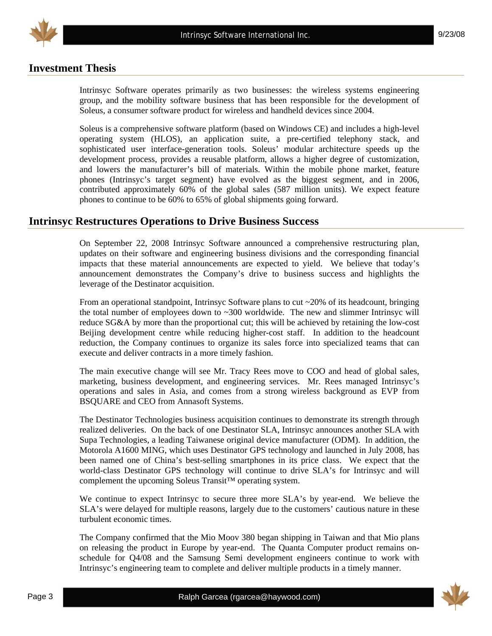

# **Investment Thesis**

Intrinsyc Software operates primarily as two businesses: the wireless systems engineering group, and the mobility software business that has been responsible for the development of Soleus, a consumer software product for wireless and handheld devices since 2004.

Soleus is a comprehensive software platform (based on Windows CE) and includes a high-level operating system (HLOS), an application suite, a pre-certified telephony stack, and sophisticated user interface-generation tools. Soleus' modular architecture speeds up the development process, provides a reusable platform, allows a higher degree of customization, and lowers the manufacturer's bill of materials. Within the mobile phone market, feature phones (Intrinsyc's target segment) have evolved as the biggest segment, and in 2006, contributed approximately 60% of the global sales (587 million units). We expect feature phones to continue to be 60% to 65% of global shipments going forward.

### **Intrinsyc Restructures Operations to Drive Business Success**

On September 22, 2008 Intrinsyc Software announced a comprehensive restructuring plan, updates on their software and engineering business divisions and the corresponding financial impacts that these material announcements are expected to yield. We believe that today's announcement demonstrates the Company's drive to business success and highlights the leverage of the Destinator acquisition.

From an operational standpoint, Intrinsyc Software plans to cut  $\sim$  20% of its headcount, bringing the total number of employees down to  $\sim$ 300 worldwide. The new and slimmer Intrinsyc will reduce SG&A by more than the proportional cut; this will be achieved by retaining the low-cost Beijing development centre while reducing higher-cost staff. In addition to the headcount reduction, the Company continues to organize its sales force into specialized teams that can execute and deliver contracts in a more timely fashion.

The main executive change will see Mr. Tracy Rees move to COO and head of global sales, marketing, business development, and engineering services. Mr. Rees managed Intrinsyc's operations and sales in Asia, and comes from a strong wireless background as EVP from BSQUARE and CEO from Annasoft Systems.

The Destinator Technologies business acquisition continues to demonstrate its strength through realized deliveries. On the back of one Destinator SLA, Intrinsyc announces another SLA with Supa Technologies, a leading Taiwanese original device manufacturer (ODM). In addition, the Motorola A1600 MING, which uses Destinator GPS technology and launched in July 2008, has been named one of China's best-selling smartphones in its price class. We expect that the world-class Destinator GPS technology will continue to drive SLA's for Intrinsyc and will complement the upcoming Soleus Transit™ operating system.

We continue to expect Intrinsyc to secure three more SLA's by year-end. We believe the SLA's were delayed for multiple reasons, largely due to the customers' cautious nature in these turbulent economic times.

The Company confirmed that the Mio Moov 380 began shipping in Taiwan and that Mio plans on releasing the product in Europe by year-end. The Quanta Computer product remains onschedule for Q4/08 and the Samsung Semi development engineers continue to work with Intrinsyc's engineering team to complete and deliver multiple products in a timely manner.

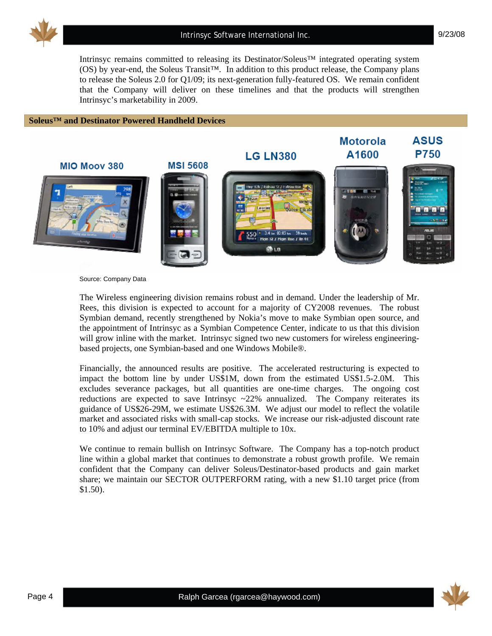

Intrinsyc remains committed to releasing its Destinator/Soleus™ integrated operating system (OS) by year-end, the Soleus Transit™. In addition to this product release, the Company plans to release the Soleus 2.0 for Q1/09; its next-generation fully-featured OS. We remain confident that the Company will deliver on these timelines and that the products will strengthen Intrinsyc's marketability in 2009.

#### **Soleus™ and Destinator Powered Handheld Devices**



Source: Company Data

The Wireless engineering division remains robust and in demand. Under the leadership of Mr. Rees, this division is expected to account for a majority of CY2008 revenues. The robust Symbian demand, recently strengthened by Nokia's move to make Symbian open source, and the appointment of Intrinsyc as a Symbian Competence Center, indicate to us that this division will grow inline with the market. Intrinsyc signed two new customers for wireless engineeringbased projects, one Symbian-based and one Windows Mobile®.

Financially, the announced results are positive. The accelerated restructuring is expected to impact the bottom line by under US\$1M, down from the estimated US\$1.5-2.0M. This excludes severance packages, but all quantities are one-time charges. The ongoing cost reductions are expected to save Intrinsyc  $\sim$  22% annualized. The Company reiterates its guidance of US\$26-29M, we estimate US\$26.3M. We adjust our model to reflect the volatile market and associated risks with small-cap stocks. We increase our risk-adjusted discount rate to 10% and adjust our terminal EV/EBITDA multiple to 10x.

We continue to remain bullish on Intrinsyc Software. The Company has a top-notch product line within a global market that continues to demonstrate a robust growth profile. We remain confident that the Company can deliver Soleus/Destinator-based products and gain market share; we maintain our SECTOR OUTPERFORM rating, with a new \$1.10 target price (from \$1.50).

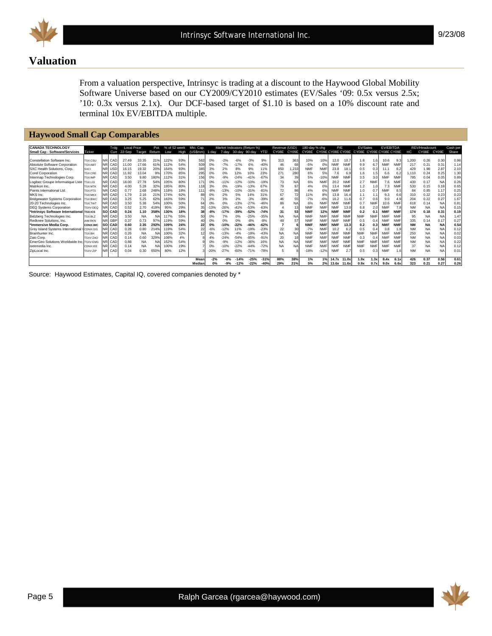

9/23/08

# **Valuation**

From a valuation perspective, Intrinsyc is trading at a discount to the Haywood Global Mobility Software Universe based on our CY2009/CY2010 estimates (EV/Sales '09: 0.5x versus 2.5x; '10: 0.3x versus 2.1x). Our DCF-based target of \$1.10 is based on a 10% discount rate and terminal 10x EV/EBITDA multiple.

#### **Haywood Small Cap Comparables**

| <b>CANADA TECHNOLOGY</b>                  |                |            | Trdg            | <b>Local Price</b> |               | Pot. | % of 52 week |      | Mkt. Cap. |        |        | Market Indicators (Return %) |        |            | Revenue   | (USD)     | 180-day % cho                                   |            | P/E        |            | <b>EV/Sales</b> |            | <b>EV/EBITDA</b> |            |           | REV/Headcount |           | Cash per |
|-------------------------------------------|----------------|------------|-----------------|--------------------|---------------|------|--------------|------|-----------|--------|--------|------------------------------|--------|------------|-----------|-----------|-------------------------------------------------|------------|------------|------------|-----------------|------------|------------------|------------|-----------|---------------|-----------|----------|
| <b>Small Cap - Software/Services</b>      | <b>Ticker</b>  |            |                 | Curr 22-Sep        | Target Return |      | Low          | High | (USSumm)  | 1-dav  | 7-dav  | 30-dav                       | 90-dav | <b>YTD</b> | CY08E     | CY09E     | CY08E CY09E CY08E CY09E CY08E CY09E CY08E CY09E |            |            |            |                 |            |                  |            | нc        | CY08E CY09E   |           | Share    |
|                                           |                |            |                 |                    |               |      |              |      |           |        |        |                              |        |            |           |           |                                                 |            |            |            |                 |            |                  |            |           |               |           |          |
| Constellation Software Inc.               | <b>TSX:CSU</b> | INRI.      | CAD             | 27.49              | 33.35         | 21%  | 122%         | 93%  | 562       | 0%     | $-2%$  | $-6%$                        | $-3%$  | 9%         | 313       | 363       | 10%                                             | 10%        | 12.0       | 10.7       | 1.8             | 1.6        | 10.6             | 9.3        | .200      | 0.26          | 0.30      | 0.98     |
| Absolute Software Corporation             | TSX:AB         |            | NR CAD          | 11.00              | 17.66         | 61%  | 112%         | 54%  | 509       | 0%     | $-7%$  | $-17%$                       | 6%     | $-40%$     | 46        | 68        | $-5%$                                           | 0%         | <b>NMF</b> | <b>NMF</b> | 9.9             | 6.7        | <b>NMF</b>       | <b>NMF</b> | 217       | 0.21          | 0.31      | 1.14     |
| SXC Health Solutions, Corp.               | <b>SXCI</b>    | <b>NR</b>  | USD             | 16.15              | 19.32         | 20%  | 164%         | 93%  | 385       | 3%     | 2%     | 8%                           | 9%     | 11%        | 850       | ,233      | <b>NMF</b>                                      | <b>NMF</b> | 23.8       | 18.1       | 0.5             | 0.3        | 11.              | 8.2        | 429       | 1.98          | 2.87      | 2.10     |
| <b>Corel Corporation</b>                  | <b>TSX:CRE</b> | NR.        | CAD             | 11.92              | 13.04         | 9%   | 170%         | 85%  | 295       | 0%     | 0%     | 12%                          | 10%    | 23%        | 271       | 280       | 6%                                              | 5%         | 7.6        | 6.9        | 1.6             | 1.5        | 6.6              | 6.2        | .110      | 0.24          | 0.25      | 1.30     |
| Intermap Technologies Corp.               | <b>TSX:IMP</b> |            | NR CAD          | 3.50               | 9.80          | 180% | 112%         | 31%  | 156       | 0%     | $-9%$  | $-24%$                       | $-41%$ | $-67%$     | 34        | 39        | 5%                                              | $-10%$     | <b>NMF</b> | <b>NMF</b> | 3.5             | 3.0        | <b>NMF</b>       | <b>NMF</b> | 795       | 0.04          | 0.05      | 0.89     |
| Logibec Groupe Informatique Ltee TSX:LGI  |                |            | NR CAD          | 18.00              | 27.78         | 54%  | 105%         | 80%  | 171       | 0%     | $-11%$ |                              | $-10%$ | $-19%$     | 73        | <b>NA</b> | 6%                                              | <b>NMF</b> | 20.2       | <b>NMF</b> | 2.7             | <b>NMF</b> | 7.6              | <b>NMF</b> | 430       | 0.17          | <b>NA</b> | 0.26     |
| Matrikon Inc.                             | <b>TSX:MTK</b> | <b>NR</b>  | CAD             | 4.00               | 5.28          | 32%  | 195%         | 80%  |           | 3%     | 0%     | $-19%$                       | $-13%$ | 67%        | 79        | 97        | 4%                                              | 0%         | 13.4       | <b>NMF</b> | 1.2             |            | 7.3              | <b>NMF</b> | 530       | 0.15          | 0.18      | 0.65     |
| Points International Ltd                  | <b>TSX:PTS</b> | NR.        | CAD             | 0.77               | 2.68          | 248% | 118%         | 18%  | 111       | $-8%$  | $-13%$ | 10%                          | $-31%$ | $-81%$     | 72        | 98        | 4%                                              | 6%         | <b>NMF</b> | <b>NMF</b> | 1.0             | 0.7        | <b>NMF</b>       | 8.5        | 84        | 0.85          | 1.17      | 0.25     |
| MKS Inc.                                  | <b>TSX:MKX</b> |            | NR CAD          | 1.79               | 2.16          | 219  | 174%         | 92%  | 88        | 0%     | 2%     | 5%                           | 14%    | 31%        | 67        | 72        | 11%                                             | 8%         | 13.8       | 16.4       | 1.1             |            | 9.3              | 6.6        | 310       | 0.22          | 0.23      | 0.23     |
| <b>Bridgewater Systems Corporation</b>    | TSX:BWC        |            | NR CAD          | 3.25               | 5.25          | 62%  | 163%         | 59%  | 71        | 2%     | 3%     | 2%                           | $-3%$  | $-39%$     | 46        | 55        | $-7%$                                           | $-6%$      | 16.2       | 11.6       | 0.7             | 0.6        | 9.0              | 4.9        | 204       | 0.22          | 0.27      | 1.67     |
| 20-20 Technologies Inc.                   | <b>TSX:TWT</b> | NR.        | CAD             | 3.50               | 5.38          | 54%  | 100%         | 50%  | 64        | 0%     | 0%     | $-13%$                       | $-27%$ | $-46%$     | 86        | NA        | 6%                                              | <b>NMF</b> | <b>NMF</b> | <b>NMF</b> | 0.7             | <b>NMF</b> | 10.6             | <b>NMF</b> | 618       | 0.14          | <b>NA</b> | 0.8'     |
| <b>DEQ Systems Corporation</b>            | TSXV:DEC       |            | NR CAD          | 0.52               | 2.70          | 419% | 95%          | 29%  | 35        | $-13%$ | $-26%$ | $-41%$                       | $-53%$ | $-63%$     |           | 13        | <b>NMF</b>                                      | <b>NMF</b> | <b>NMF</b> | 13.0       | 6.8             | 2.0        | <b>NMF</b>       | 7.8        | <b>NM</b> | <b>NA</b>     | <b>NA</b> | 0.15     |
| *Intrinsyc Software International TSX:ICS |                |            | <b>SO CAD</b>   | 0.24               | 1.10          | 358% | 130%         | 18%  | 38        | $-8%$  | $-17%$ | -39%                         | $-52%$ | $-74%$     | 31        | 53        | <b>NMF</b>                                      | 12%        | <b>NMF</b> | <b>NMF</b> | 0.2             | 0.1        | <b>NMF</b>       | <b>NMF</b> | 174       | 0.18          | 0.3'      | 0.19     |
| Belzberg Technologies Inc.                | TSX:BLZ        | INR I      | CAD             | 3.50               | <b>NA</b>     |      | 117%         | 55%  | 50        | 0%     | 7%     | 0%                           | $-25%$ | $-35%$     | <b>NA</b> | <b>NA</b> | <b>NMF</b>                                      | <b>NMF</b> | <b>NMF</b> | NMF        | <b>NMF</b>      | <b>NMF</b> | <b>NMF</b>       | <b>NMF</b> | 95        | <b>NA</b>     | <b>NA</b> | 1.47     |
| Redknee Solutions, Inc.                   | AIM:RKN        | <b>NRI</b> | GBF             | 0.37               | 0.73          | 97%  | 119%         | 59%  | 40        | 0%     | 0%     | 0%                           | $-8%$  | $-8%$      | 48        | 57        | <b>NMF</b>                                      | <b>NMF</b> | <b>NMF</b> | <b>NM</b>  | 0.5             | 0.4        | <b>NM</b>        | <b>NM</b>  | 335       | 0.14          | 0.17      | 0.27     |
| *Immersive Media Corp.                    | CDNX:IMC       |            | <b>ISOI CAD</b> | 0.60               | 2.35          | 292% | 109%         | 24%  | 22        | 0%     | $-10%$ | $-22%$                       | $-46%$ | $-62%$     |           |           | <b>NMF</b>                                      | <b>NMF</b> | <b>NMF</b> | 13.3       | 0.2             | 0.3        | <b>NMF</b>       | <b>NMF</b> | <b>NM</b> | <b>NA</b>     | <b>NA</b> | 0.54     |
| Grey Island Systems International         | CDNX:GIS       | NR.        | CAD             | 0.26               | 0.80          | 214% | 119%         | 54%  | 22        | $-6%$  | $-12%$ | 11%                          | $-19%$ | $-23%$     | 22        | 30        | $-7%$                                           | <b>NMF</b> | 10.2       | 6.2        | 0.5             | 0.4        | 3.8              | 1.9        | <b>NM</b> | <b>NA</b>     | NA        | 0.12     |
| Brainhunter Inc.                          | <b>TSX-RH</b>  | <b>NRI</b> | CAD             | 0.26               | <b>NA</b>     | N,   | 100%         | 32%  |           | 0%     | $-13%$ |                              | $-19%$ | $-43%$     | <b>NA</b> | <b>NA</b> | <b>NMF</b>                                      | <b>NMF</b> | <b>NMF</b> | <b>NMF</b> | <b>NMF</b>      | <b>NMF</b> | <b>NMF</b>       | <b>NM</b>  | 250       | <b>NA</b>     | <b>NA</b> | 0.02     |
| Zaio Corp.                                | TSXV:ZAC       | NR.        | CAD             | 0.14               | 0.60          | 329% | 108%         | 4%   |           | 4%     | $-24%$ | $-54%$                       | $-85%$ | $-91%$     | 20        | 18        | <b>NMF</b>                                      | <b>NMF</b> | <b>NMF</b> | <b>NMF</b> | 0.3             | 0.4        | <b>NMF</b>       | <b>NMF</b> | <b>NM</b> | <b>NA</b>     | <b>NA</b> | 0.03     |
| EmerGeo Solutions Worldwide Inc. TSXV:EMO |                |            | NR CAD          | 0.88               | <b>NA</b>     | N    | 152%         | 54%  |           | 0%     | $-9%$  | $-12%$                       | $-36%$ | 16%        | <b>NA</b> | NA        | <b>NMF</b>                                      | <b>NMF</b> | <b>NMF</b> | <b>NMF</b> | <b>NMF</b>      | <b>NMF</b> | <b>NMF</b>       | <b>NMF</b> | <b>NM</b> | <b>NA</b>     | <b>NA</b> | 0.22     |
| iseemedia Inc                             | CDNX:IEE       | NRI        | CAD             | 0.14               | <b>NA</b>     |      | 100%         | 19%  |           | 0%     | $-10%$ | $-22%$                       | $-44%$ | $-72%$     | <b>NA</b> | <b>NA</b> | <b>NMF</b>                                      | <b>NMF</b> | <b>NMF</b> |            | <b>NMF</b>      | <b>NMF</b> | <b>NMF</b>       | <b>NMF</b> | 37        | <b>NA</b>     | <b>NA</b> | 0.12     |
| ZipLocal Inc.                             | TSXV:ZIP       |            | NR CAD          | 0.04               | 0.30          | 650% | 80%          | 12%  |           | $-20%$ |        |                              | $-71%$ | $-78%$     |           |           | $-18%$                                          | $-12%$     | <b>NMF</b> | 2.7        | 0.5             | 0.3        | <b>NMF</b>       |            | <b>NM</b> | <b>NA</b>     | NA        | 0.01     |
|                                           |                |            |                 |                    |               |      |              |      |           |        |        |                              |        |            |           |           |                                                 |            |            |            |                 |            |                  |            |           |               |           |          |
|                                           |                |            |                 |                    |               |      |              |      | Mear      | $-2%$  | $-8%$  | $-14%$                       | $-25%$ | $-31%$     | 88%       | 38%       | 1%                                              | 1%         | 14.7x      | 11.0x      | 1.9x            | 1.3x       | 8.4x             | 6.1x       | 426       | 0.37          | 0.56      | 0.61     |
|                                           |                |            |                 |                    |               |      |              |      | Median    | 0%     | -9%    | $-12%$                       | $-22%$ | $-40%$     | 29%       | 21%       | 5%                                              | 2%         | 13.6x      | 11.6x      | 0.9x            | 0.7x       | 9.0x             | 6.6x       | 323       | 0.21          | 0.27      | 0.26     |

Source: Haywood Estimates, Capital IQ, covered companies denoted by \*

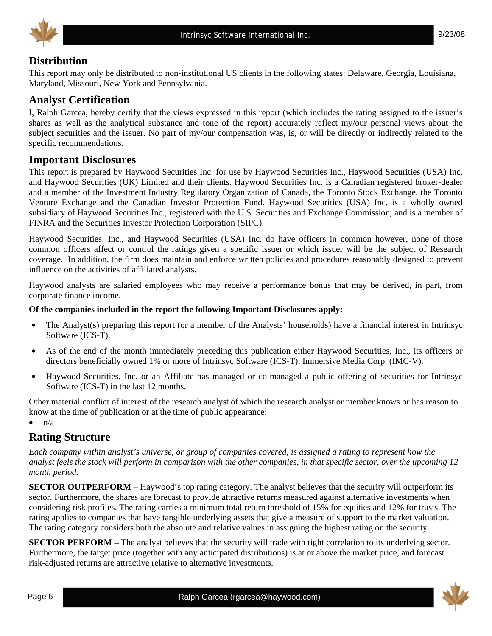



# **Distribution**

This report may only be distributed to non-institutional US clients in the following states: Delaware, Georgia, Louisiana, Maryland, Missouri, New York and Pennsylvania.

# **Analyst Certification**

I, Ralph Garcea, hereby certify that the views expressed in this report (which includes the rating assigned to the issuer's shares as well as the analytical substance and tone of the report) accurately reflect my/our personal views about the subject securities and the issuer. No part of my/our compensation was, is, or will be directly or indirectly related to the specific recommendations.

### **Important Disclosures**

This report is prepared by Haywood Securities Inc. for use by Haywood Securities Inc., Haywood Securities (USA) Inc. and Haywood Securities (UK) Limited and their clients. Haywood Securities Inc. is a Canadian registered broker-dealer and a member of the Investment Industry Regulatory Organization of Canada, the Toronto Stock Exchange, the Toronto Venture Exchange and the Canadian Investor Protection Fund. Haywood Securities (USA) Inc. is a wholly owned subsidiary of Haywood Securities Inc., registered with the U.S. Securities and Exchange Commission, and is a member of FINRA and the Securities Investor Protection Corporation (SIPC).

Haywood Securities, Inc., and Haywood Securities (USA) Inc. do have officers in common however, none of those common officers affect or control the ratings given a specific issuer or which issuer will be the subject of Research coverage. In addition, the firm does maintain and enforce written policies and procedures reasonably designed to prevent influence on the activities of affiliated analysts.

Haywood analysts are salaried employees who may receive a performance bonus that may be derived, in part, from corporate finance income.

#### **Of the companies included in the report the following Important Disclosures apply:**

- The Analyst(s) preparing this report (or a member of the Analysts' households) have a financial interest in Intrinsyc Software (ICS-T).
- As of the end of the month immediately preceding this publication either Haywood Securities, Inc., its officers or directors beneficially owned 1% or more of Intrinsyc Software (ICS-T), Immersive Media Corp. (IMC-V).
- Haywood Securities, Inc. or an Affiliate has managed or co-managed a public offering of securities for Intrinsyc Software (ICS-T) in the last 12 months.

Other material conflict of interest of the research analyst of which the research analyst or member knows or has reason to know at the time of publication or at the time of public appearance:

 $\bullet$   $\mathsf{n}/\mathsf{a}$ 

#### **Rating Structure**

*Each company within analyst's universe, or group of companies covered, is assigned a rating to represent how the analyst feels the stock will perform in comparison with the other companies, in that specific sector, over the upcoming 12 month period.* 

**SECTOR OUTPERFORM** – Haywood's top rating category. The analyst believes that the security will outperform its sector. Furthermore, the shares are forecast to provide attractive returns measured against alternative investments when considering risk profiles. The rating carries a minimum total return threshold of 15% for equities and 12% for trusts. The rating applies to companies that have tangible underlying assets that give a measure of support to the market valuation. The rating category considers both the absolute and relative values in assigning the highest rating on the security.

**SECTOR PERFORM** – The analyst believes that the security will trade with tight correlation to its underlying sector. Furthermore, the target price (together with any anticipated distributions) is at or above the market price, and forecast risk-adjusted returns are attractive relative to alternative investments.

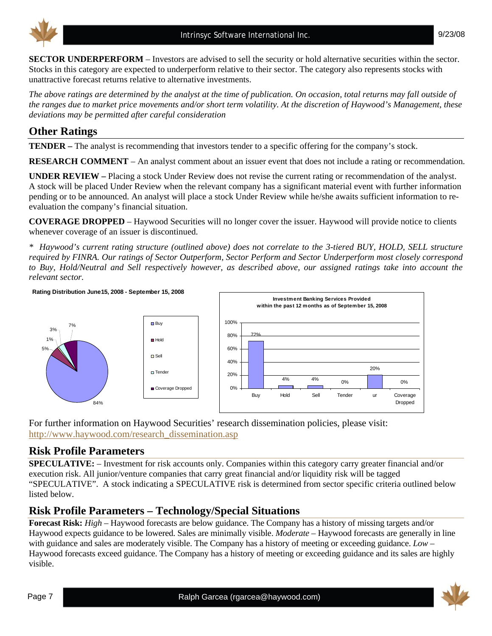



**SECTOR UNDERPERFORM** – Investors are advised to sell the security or hold alternative securities within the sector. Stocks in this category are expected to underperform relative to their sector. The category also represents stocks with unattractive forecast returns relative to alternative investments.

*The above ratings are determined by the analyst at the time of publication. On occasion, total returns may fall outside of the ranges due to market price movements and/or short term volatility. At the discretion of Haywood's Management, these deviations may be permitted after careful consideration* 

# **Other Ratings**

**TENDER –** The analyst is recommending that investors tender to a specific offering for the company's stock.

**RESEARCH COMMENT** – An analyst comment about an issuer event that does not include a rating or recommendation.

**UNDER REVIEW –** Placing a stock Under Review does not revise the current rating or recommendation of the analyst. A stock will be placed Under Review when the relevant company has a significant material event with further information pending or to be announced. An analyst will place a stock Under Review while he/she awaits sufficient information to reevaluation the company's financial situation.

**COVERAGE DROPPED** – Haywood Securities will no longer cover the issuer. Haywood will provide notice to clients whenever coverage of an issuer is discontinued.

*\* Haywood's current rating structure (outlined above) does not correlate to the 3-tiered BUY, HOLD, SELL structure required by FINRA. Our ratings of Sector Outperform, Sector Perform and Sector Underperform most closely correspond to Buy, Hold/Neutral and Sell respectively however, as described above, our assigned ratings take into account the relevant sector.* 



For further information on Haywood Securities' research dissemination policies, please visit: http://www.haywood.com/research\_dissemination.asp

## **Risk Profile Parameters**

**SPECULATIVE:** – Investment for risk accounts only. Companies within this category carry greater financial and/or execution risk. All junior/venture companies that carry great financial and/or liquidity risk will be tagged "SPECULATIVE". A stock indicating a SPECULATIVE risk is determined from sector specific criteria outlined below listed below.

# **Risk Profile Parameters – Technology/Special Situations**

**Forecast Risk:** *High* – Haywood forecasts are below guidance. The Company has a history of missing targets and/or Haywood expects guidance to be lowered. Sales are minimally visible. *Moderate* – Haywood forecasts are generally in line with guidance and sales are moderately visible. The Company has a history of meeting or exceeding guidance. *Low* – Haywood forecasts exceed guidance. The Company has a history of meeting or exceeding guidance and its sales are highly visible.